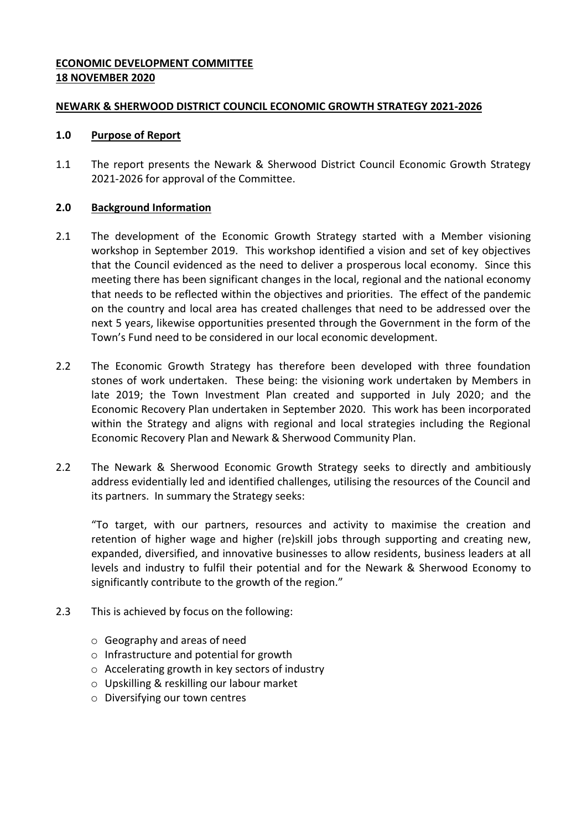### **ECONOMIC DEVELOPMENT COMMITTEE 18 NOVEMBER 2020**

### **NEWARK & SHERWOOD DISTRICT COUNCIL ECONOMIC GROWTH STRATEGY 2021-2026**

### **1.0 Purpose of Report**

1.1 The report presents the Newark & Sherwood District Council Economic Growth Strategy 2021-2026 for approval of the Committee.

## **2.0 Background Information**

- 2.1 The development of the Economic Growth Strategy started with a Member visioning workshop in September 2019. This workshop identified a vision and set of key objectives that the Council evidenced as the need to deliver a prosperous local economy. Since this meeting there has been significant changes in the local, regional and the national economy that needs to be reflected within the objectives and priorities. The effect of the pandemic on the country and local area has created challenges that need to be addressed over the next 5 years, likewise opportunities presented through the Government in the form of the Town's Fund need to be considered in our local economic development.
- 2.2 The Economic Growth Strategy has therefore been developed with three foundation stones of work undertaken. These being: the visioning work undertaken by Members in late 2019; the Town Investment Plan created and supported in July 2020; and the Economic Recovery Plan undertaken in September 2020. This work has been incorporated within the Strategy and aligns with regional and local strategies including the Regional Economic Recovery Plan and Newark & Sherwood Community Plan.
- 2.2 The Newark & Sherwood Economic Growth Strategy seeks to directly and ambitiously address evidentially led and identified challenges, utilising the resources of the Council and its partners. In summary the Strategy seeks:

"To target, with our partners, resources and activity to maximise the creation and retention of higher wage and higher (re)skill jobs through supporting and creating new, expanded, diversified, and innovative businesses to allow residents, business leaders at all levels and industry to fulfil their potential and for the Newark & Sherwood Economy to significantly contribute to the growth of the region."

- 2.3 This is achieved by focus on the following:
	- o Geography and areas of need
	- o Infrastructure and potential for growth
	- o Accelerating growth in key sectors of industry
	- o Upskilling & reskilling our labour market
	- o Diversifying our town centres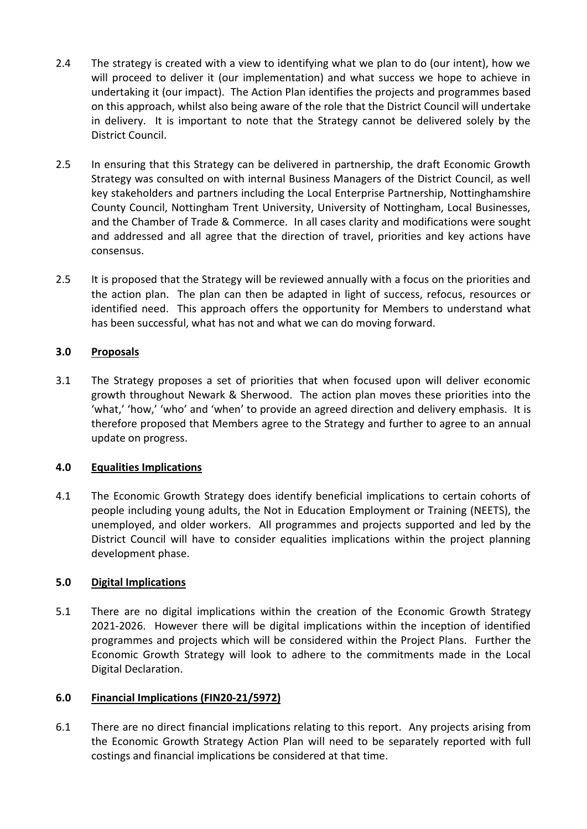- 2.4 The strategy is created with a view to identifying what we plan to do (our intent), how we will proceed to deliver it (our implementation) and what success we hope to achieve in undertaking it (our impact). The Action Plan identifies the projects and programmes based on this approach, whilst also being aware of the role that the District Council will undertake in delivery. It is important to note that the Strategy cannot be delivered solely by the District Council.
- 2.5 In ensuring that this Strategy can be delivered in partnership, the draft Economic Growth Strategy was consulted on with internal Business Managers of the District Council, as well key stakeholders and partners including the Local Enterprise Partnership, Nottinghamshire County Council, Nottingham Trent University, University of Nottingham, Local Businesses, and the Chamber of Trade & Commerce. In all cases clarity and modifications were sought and addressed and all agree that the direction of travel, priorities and key actions have consensus.
- 2.5 It is proposed that the Strategy will be reviewed annually with a focus on the priorities and the action plan. The plan can then be adapted in light of success, refocus, resources or identified need. This approach offers the opportunity for Members to understand what has been successful, what has not and what we can do moving forward.

# **3.0 Proposals**

3.1 The Strategy proposes a set of priorities that when focused upon will deliver economic growth throughout Newark & Sherwood. The action plan moves these priorities into the 'what,' 'how,' 'who' and 'when' to provide an agreed direction and delivery emphasis. It is therefore proposed that Members agree to the Strategy and further to agree to an annual update on progress.

# **4.0 Equalities Implications**

4.1 The Economic Growth Strategy does identify beneficial implications to certain cohorts of people including young adults, the Not in Education Employment or Training (NEETS), the unemployed, and older workers. All programmes and projects supported and led by the District Council will have to consider equalities implications within the project planning development phase.

# **5.0 Digital Implications**

5.1 There are no digital implications within the creation of the Economic Growth Strategy 2021-2026. However there will be digital implications within the inception of identified programmes and projects which will be considered within the Project Plans. Further the Economic Growth Strategy will look to adhere to the commitments made in the Local Digital Declaration.

### **6.0 Financial Implications (FIN20-21/5972)**

6.1 There are no direct financial implications relating to this report. Any projects arising from the Economic Growth Strategy Action Plan will need to be separately reported with full costings and financial implications be considered at that time.